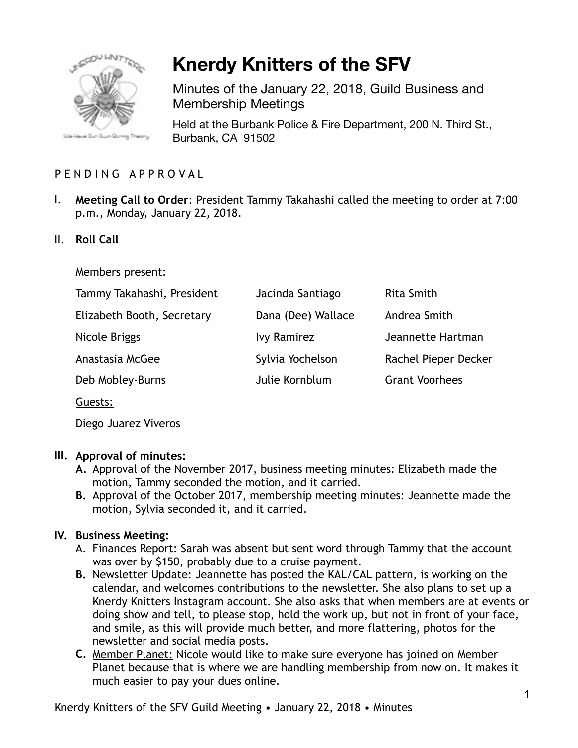

# **Knerdy Knitters of the SFV**

Minutes of the January 22, 2018, Guild Business and Membership Meetings

Held at the Burbank Police & Fire Department, 200 N. Third St., Burbank, CA 91502

## PENDING APPROVAL

- I. **Meeting Call to Order**: President Tammy Takahashi called the meeting to order at 7:00 p.m., Monday, January 22, 2018.
- II. **Roll Call**

#### Members present:

| Jacinda Santiago   | <b>Rita Smith</b>     |
|--------------------|-----------------------|
| Dana (Dee) Wallace | Andrea Smith          |
| <b>Ivy Ramirez</b> | Jeannette Hartman     |
| Sylvia Yochelson   | Rachel Pieper Decker  |
| Julie Kornblum     | <b>Grant Voorhees</b> |
|                    |                       |
|                    |                       |

Diego Juarez Viveros

## **III. Approval of minutes:**

- **A.** Approval of the November 2017, business meeting minutes: Elizabeth made the motion, Tammy seconded the motion, and it carried.
- **B.** Approval of the October 2017, membership meeting minutes: Jeannette made the motion, Sylvia seconded it, and it carried.

## **IV. Business Meeting:**

- A. Finances Report: Sarah was absent but sent word through Tammy that the account was over by \$150, probably due to a cruise payment.
- **B.** Newsletter Update: Jeannette has posted the KAL/CAL pattern, is working on the calendar, and welcomes contributions to the newsletter. She also plans to set up a Knerdy Knitters Instagram account. She also asks that when members are at events or doing show and tell, to please stop, hold the work up, but not in front of your face, and smile, as this will provide much better, and more flattering, photos for the newsletter and social media posts.
- **C.** Member Planet: Nicole would like to make sure everyone has joined on Member Planet because that is where we are handling membership from now on. It makes it much easier to pay your dues online.

Knerdy Knitters of the SFV Guild Meeting • January 22, 2018 • Minutes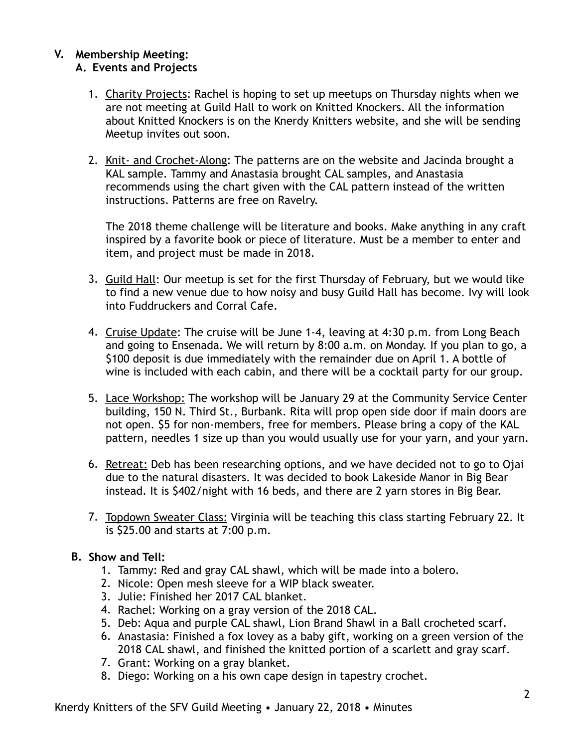#### **V. Membership Meeting: A. Events and Projects**

- 1. Charity Projects: Rachel is hoping to set up meetups on Thursday nights when we are not meeting at Guild Hall to work on Knitted Knockers. All the information about Knitted Knockers is on the Knerdy Knitters website, and she will be sending Meetup invites out soon.
- 2. Knit- and Crochet-Along: The patterns are on the website and Jacinda brought a KAL sample. Tammy and Anastasia brought CAL samples, and Anastasia recommends using the chart given with the CAL pattern instead of the written instructions. Patterns are free on Ravelry.

The 2018 theme challenge will be literature and books. Make anything in any craft inspired by a favorite book or piece of literature. Must be a member to enter and item, and project must be made in 2018.

- 3. Guild Hall: Our meetup is set for the first Thursday of February, but we would like to find a new venue due to how noisy and busy Guild Hall has become. Ivy will look into Fuddruckers and Corral Cafe.
- 4. Cruise Update: The cruise will be June 1-4, leaving at 4:30 p.m. from Long Beach and going to Ensenada. We will return by 8:00 a.m. on Monday. If you plan to go, a \$100 deposit is due immediately with the remainder due on April 1. A bottle of wine is included with each cabin, and there will be a cocktail party for our group.
- 5. Lace Workshop: The workshop will be January 29 at the Community Service Center building, 150 N. Third St., Burbank. Rita will prop open side door if main doors are not open. \$5 for non-members, free for members. Please bring a copy of the KAL pattern, needles 1 size up than you would usually use for your yarn, and your yarn.
- 6. Retreat: Deb has been researching options, and we have decided not to go to Ojai due to the natural disasters. It was decided to book Lakeside Manor in Big Bear instead. It is \$402/night with 16 beds, and there are 2 yarn stores in Big Bear.
- 7. Topdown Sweater Class: Virginia will be teaching this class starting February 22. It is \$25.00 and starts at 7:00 p.m.

## **B. Show and Tell:**

- 1. Tammy: Red and gray CAL shawl, which will be made into a bolero.
- 2. Nicole: Open mesh sleeve for a WIP black sweater.
- 3. Julie: Finished her 2017 CAL blanket.
- 4. Rachel: Working on a gray version of the 2018 CAL.
- 5. Deb: Aqua and purple CAL shawl, Lion Brand Shawl in a Ball crocheted scarf.
- 6. Anastasia: Finished a fox lovey as a baby gift, working on a green version of the 2018 CAL shawl, and finished the knitted portion of a scarlett and gray scarf.
- 7. Grant: Working on a gray blanket.
- 8. Diego: Working on a his own cape design in tapestry crochet.